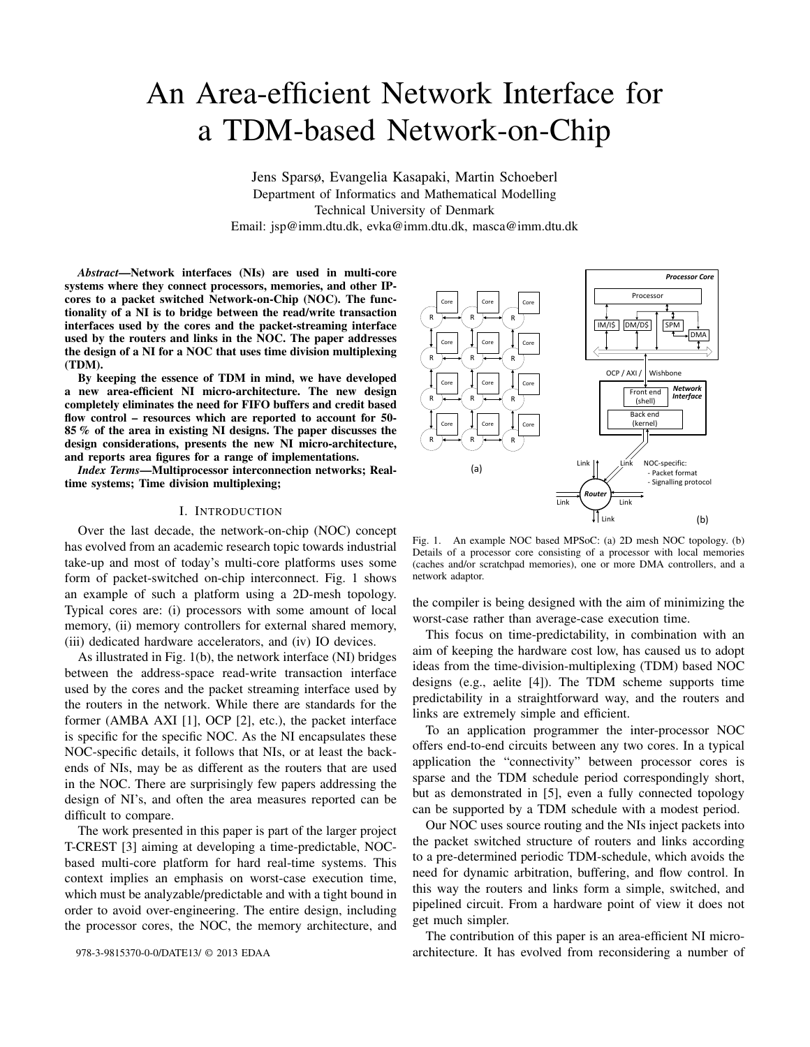# An Area-efficient Network Interface for a TDM-based Network-on-Chip

Jens Sparsø, Evangelia Kasapaki, Martin Schoeberl Department of Informatics and Mathematical Modelling Technical University of Denmark Email: jsp@imm.dtu.dk, evka@imm.dtu.dk, masca@imm.dtu.dk

*Abstract*—Network interfaces (NIs) are used in multi-core systems where they connect processors, memories, and other IPcores to a packet switched Network-on-Chip (NOC). The functionality of a NI is to bridge between the read/write transaction interfaces used by the cores and the packet-streaming interface used by the routers and links in the NOC. The paper addresses the design of a NI for a NOC that uses time division multiplexing (TDM).

By keeping the essence of TDM in mind, we have developed a new area-efficient NI micro-architecture. The new design completely eliminates the need for FIFO buffers and credit based flow control – resources which are reported to account for 50- 85 % of the area in existing NI designs. The paper discusses the design considerations, presents the new NI micro-architecture, and reports area figures for a range of implementations.

*Index Terms*—Multiprocessor interconnection networks; Realtime systems; Time division multiplexing;

### I. INTRODUCTION

Over the last decade, the network-on-chip (NOC) concept has evolved from an academic research topic towards industrial take-up and most of today's multi-core platforms uses some form of packet-switched on-chip interconnect. Fig. 1 shows an example of such a platform using a 2D-mesh topology. Typical cores are: (i) processors with some amount of local memory, (ii) memory controllers for external shared memory, (iii) dedicated hardware accelerators, and (iv) IO devices.

As illustrated in Fig. 1(b), the network interface (NI) bridges between the address-space read-write transaction interface used by the cores and the packet streaming interface used by the routers in the network. While there are standards for the former (AMBA AXI [1], OCP [2], etc.), the packet interface is specific for the specific NOC. As the NI encapsulates these NOC-specific details, it follows that NIs, or at least the backends of NIs, may be as different as the routers that are used in the NOC. There are surprisingly few papers addressing the design of NI's, and often the area measures reported can be difficult to compare.

The work presented in this paper is part of the larger project T-CREST [3] aiming at developing a time-predictable, NOCbased multi-core platform for hard real-time systems. This context implies an emphasis on worst-case execution time, which must be analyzable/predictable and with a tight bound in order to avoid over-engineering. The entire design, including the processor cores, the NOC, the memory architecture, and

978-3-9815370-0-0/DATE13/ © 2013 EDAA



Fig. 1. An example NOC based MPSoC: (a) 2D mesh NOC topology. (b) Details of a processor core consisting of a processor with local memories (caches and/or scratchpad memories), one or more DMA controllers, and a network adaptor.

the compiler is being designed with the aim of minimizing the worst-case rather than average-case execution time.

This focus on time-predictability, in combination with an aim of keeping the hardware cost low, has caused us to adopt ideas from the time-division-multiplexing (TDM) based NOC designs (e.g., aelite [4]). The TDM scheme supports time predictability in a straightforward way, and the routers and links are extremely simple and efficient.

To an application programmer the inter-processor NOC offers end-to-end circuits between any two cores. In a typical application the "connectivity" between processor cores is sparse and the TDM schedule period correspondingly short, but as demonstrated in [5], even a fully connected topology can be supported by a TDM schedule with a modest period.

Our NOC uses source routing and the NIs inject packets into the packet switched structure of routers and links according to a pre-determined periodic TDM-schedule, which avoids the need for dynamic arbitration, buffering, and flow control. In this way the routers and links form a simple, switched, and pipelined circuit. From a hardware point of view it does not get much simpler.

The contribution of this paper is an area-efficient NI microarchitecture. It has evolved from reconsidering a number of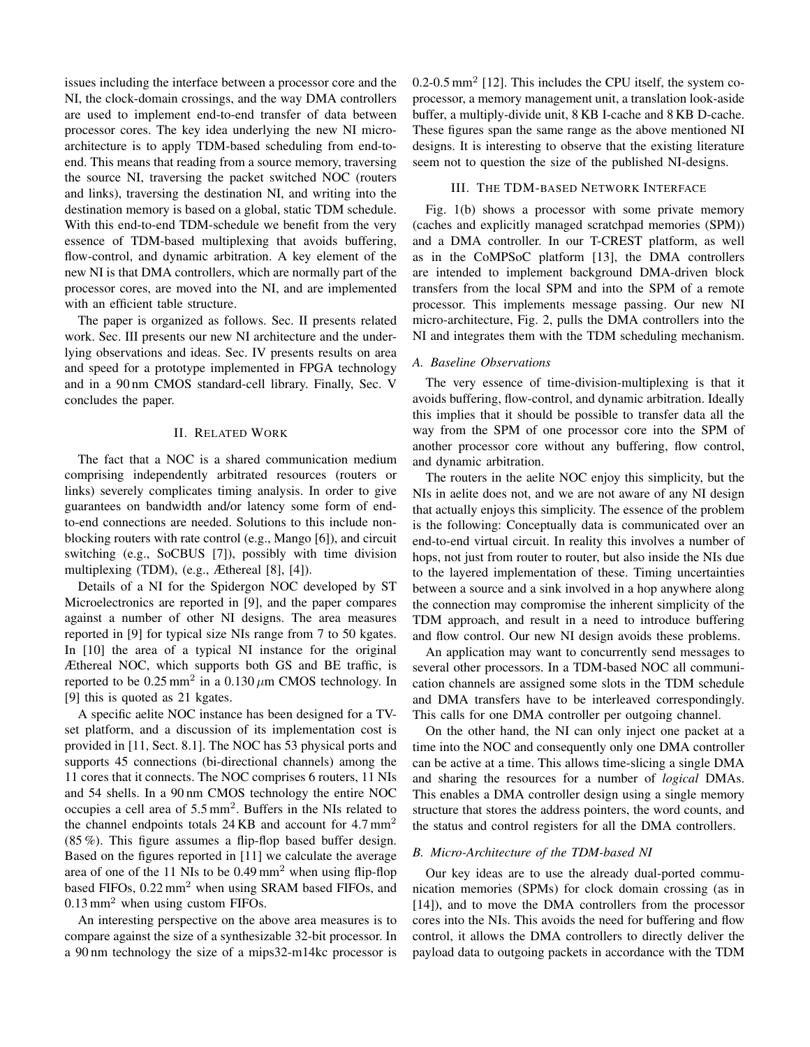issues including the interface between a processor core and the NI, the clock-domain crossings, and the way DMA controllers are used to implement end-to-end transfer of data between processor cores. The key idea underlying the new NI microarchitecture is to apply TDM-based scheduling from end-toend. This means that reading from a source memory, traversing the source NI, traversing the packet switched NOC (routers and links), traversing the destination NI, and writing into the destination memory is based on a global, static TDM schedule. With this end-to-end TDM-schedule we benefit from the very essence of TDM-based multiplexing that avoids buffering, flow-control, and dynamic arbitration. A key element of the new NI is that DMA controllers, which are normally part of the processor cores, are moved into the NI, and are implemented with an efficient table structure.

The paper is organized as follows. Sec. II presents related work. Sec. III presents our new NI architecture and the underlying observations and ideas. Sec. IV presents results on area and speed for a prototype implemented in FPGA technology and in a 90 nm CMOS standard-cell library. Finally, Sec. V concludes the paper.

# II. RELATED WORK

The fact that a NOC is a shared communication medium comprising independently arbitrated resources (routers or links) severely complicates timing analysis. In order to give guarantees on bandwidth and/or latency some form of endto-end connections are needed. Solutions to this include nonblocking routers with rate control (e.g., Mango [6]), and circuit switching (e.g., SoCBUS [7]), possibly with time division multiplexing (TDM), (e.g., Æthereal [8], [4]).

Details of a NI for the Spidergon NOC developed by ST Microelectronics are reported in [9], and the paper compares against a number of other NI designs. The area measures reported in [9] for typical size NIs range from 7 to 50 kgates. In [10] the area of a typical NI instance for the original Æthereal NOC, which supports both GS and BE traffic, is reported to be  $0.25 \text{ mm}^2$  in a  $0.130 \mu \text{m}$  CMOS technology. In [9] this is quoted as 21 kgates.

A specific aelite NOC instance has been designed for a TVset platform, and a discussion of its implementation cost is provided in [11, Sect. 8.1]. The NOC has 53 physical ports and supports 45 connections (bi-directional channels) among the 11 cores that it connects. The NOC comprises 6 routers, 11 NIs and 54 shells. In a 90 nm CMOS technology the entire NOC occupies a cell area of  $5.5 \text{ mm}^2$ . Buffers in the NIs related to the channel endpoints totals 24 KB and account for 4.7 mm<sup>2</sup> (85 %). This figure assumes a flip-flop based buffer design. Based on the figures reported in [11] we calculate the average area of one of the 11 NIs to be  $0.49 \text{ mm}^2$  when using flip-flop based FIFOs, 0.22 mm<sup>2</sup> when using SRAM based FIFOs, and  $0.13$  mm<sup>2</sup> when using custom FIFOs.

An interesting perspective on the above area measures is to compare against the size of a synthesizable 32-bit processor. In a 90 nm technology the size of a mips32-m14kc processor is

 $0.2$ - $0.5$  mm<sup>2</sup> [12]. This includes the CPU itself, the system coprocessor, a memory management unit, a translation look-aside buffer, a multiply-divide unit, 8 KB I-cache and 8 KB D-cache. These figures span the same range as the above mentioned NI designs. It is interesting to observe that the existing literature seem not to question the size of the published NI-designs.

## III. THE TDM-BASED NETWORK INTERFACE

Fig. 1(b) shows a processor with some private memory (caches and explicitly managed scratchpad memories (SPM)) and a DMA controller. In our T-CREST platform, as well as in the CoMPSoC platform [13], the DMA controllers are intended to implement background DMA-driven block transfers from the local SPM and into the SPM of a remote processor. This implements message passing. Our new NI micro-architecture, Fig. 2, pulls the DMA controllers into the NI and integrates them with the TDM scheduling mechanism.

# *A. Baseline Observations*

The very essence of time-division-multiplexing is that it avoids buffering, flow-control, and dynamic arbitration. Ideally this implies that it should be possible to transfer data all the way from the SPM of one processor core into the SPM of another processor core without any buffering, flow control, and dynamic arbitration.

The routers in the aelite NOC enjoy this simplicity, but the NIs in aelite does not, and we are not aware of any NI design that actually enjoys this simplicity. The essence of the problem is the following: Conceptually data is communicated over an end-to-end virtual circuit. In reality this involves a number of hops, not just from router to router, but also inside the NIs due to the layered implementation of these. Timing uncertainties between a source and a sink involved in a hop anywhere along the connection may compromise the inherent simplicity of the TDM approach, and result in a need to introduce buffering and flow control. Our new NI design avoids these problems.

An application may want to concurrently send messages to several other processors. In a TDM-based NOC all communication channels are assigned some slots in the TDM schedule and DMA transfers have to be interleaved correspondingly. This calls for one DMA controller per outgoing channel.

On the other hand, the NI can only inject one packet at a time into the NOC and consequently only one DMA controller can be active at a time. This allows time-slicing a single DMA and sharing the resources for a number of *logical* DMAs. This enables a DMA controller design using a single memory structure that stores the address pointers, the word counts, and the status and control registers for all the DMA controllers.

## *B. Micro-Architecture of the TDM-based NI*

Our key ideas are to use the already dual-ported communication memories (SPMs) for clock domain crossing (as in [14]), and to move the DMA controllers from the processor cores into the NIs. This avoids the need for buffering and flow control, it allows the DMA controllers to directly deliver the payload data to outgoing packets in accordance with the TDM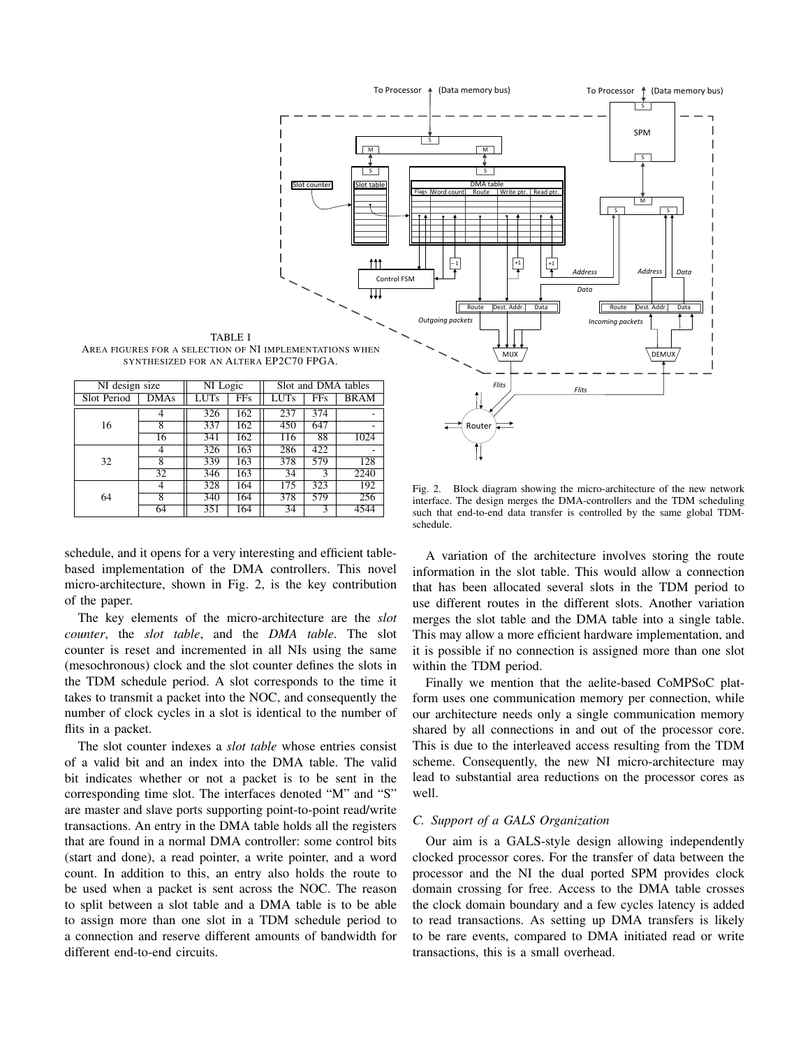

Fig. 2. Block diagram showing the micro-architecture of the new network interface. The design merges the DMA-controllers and the TDM scheduling such that end-to-end data transfer is controlled by the same global TDMschedule.

schedule, and it opens for a very interesting and efficient tablebased implementation of the DMA controllers. This novel micro-architecture, shown in Fig. 2, is the key contribution of the paper.

64 | 8 || 340 | 164 || 378 | 579 | 256

64 | 351 | 164 | 34 | 3 | 4544

The key elements of the micro-architecture are the *slot counter*, the *slot table*, and the *DMA table*. The slot counter is reset and incremented in all NIs using the same (mesochronous) clock and the slot counter defines the slots in the TDM schedule period. A slot corresponds to the time it takes to transmit a packet into the NOC, and consequently the number of clock cycles in a slot is identical to the number of flits in a packet.

The slot counter indexes a *slot table* whose entries consist of a valid bit and an index into the DMA table. The valid bit indicates whether or not a packet is to be sent in the corresponding time slot. The interfaces denoted "M" and "S" are master and slave ports supporting point-to-point read/write transactions. An entry in the DMA table holds all the registers that are found in a normal DMA controller: some control bits (start and done), a read pointer, a write pointer, and a word count. In addition to this, an entry also holds the route to be used when a packet is sent across the NOC. The reason to split between a slot table and a DMA table is to be able to assign more than one slot in a TDM schedule period to a connection and reserve different amounts of bandwidth for different end-to-end circuits.

A variation of the architecture involves storing the route information in the slot table. This would allow a connection that has been allocated several slots in the TDM period to use different routes in the different slots. Another variation merges the slot table and the DMA table into a single table. This may allow a more efficient hardware implementation, and it is possible if no connection is assigned more than one slot within the TDM period.

Finally we mention that the aelite-based CoMPSoC platform uses one communication memory per connection, while our architecture needs only a single communication memory shared by all connections in and out of the processor core. This is due to the interleaved access resulting from the TDM scheme. Consequently, the new NI micro-architecture may lead to substantial area reductions on the processor cores as well.

# *C. Support of a GALS Organization*

Our aim is a GALS-style design allowing independently clocked processor cores. For the transfer of data between the processor and the NI the dual ported SPM provides clock domain crossing for free. Access to the DMA table crosses the clock domain boundary and a few cycles latency is added to read transactions. As setting up DMA transfers is likely to be rare events, compared to DMA initiated read or write transactions, this is a small overhead.